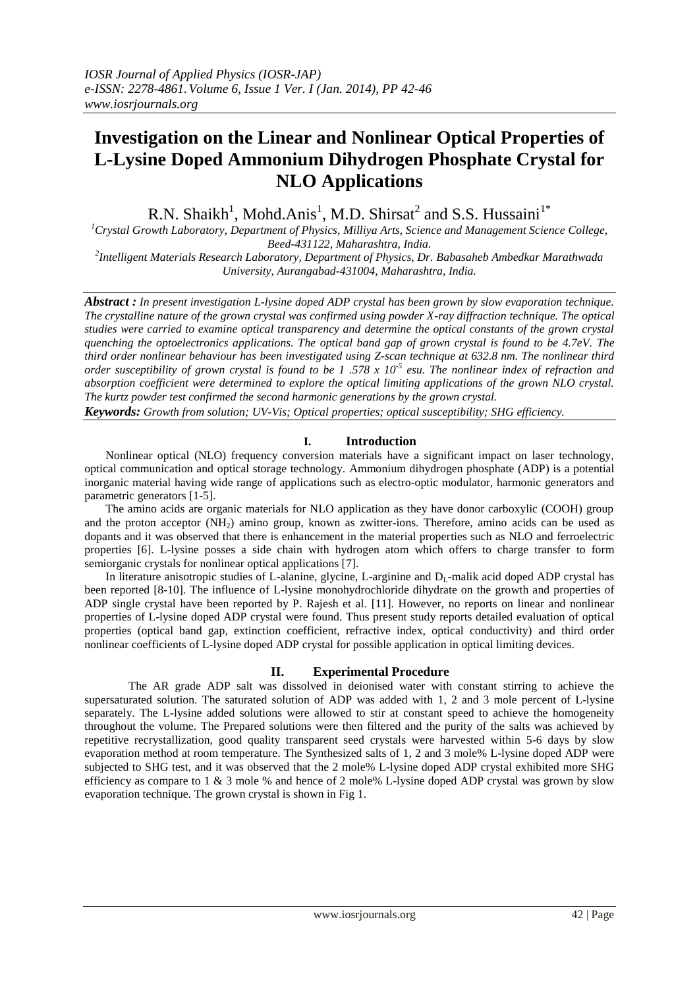# **Investigation on the Linear and Nonlinear Optical Properties of L-Lysine Doped Ammonium Dihydrogen Phosphate Crystal for NLO Applications**

R.N. Shaikh<sup>1</sup>, Mohd.Anis<sup>1</sup>, M.D. Shirsat<sup>2</sup> and S.S. Hussaini<sup>1\*</sup>

*<sup>1</sup>Crystal Growth Laboratory, Department of Physics, Milliya Arts, Science and Management Science College, Beed-431122, Maharashtra, India.*

*2 Intelligent Materials Research Laboratory, Department of Physics, Dr. Babasaheb Ambedkar Marathwada University, Aurangabad-431004, Maharashtra, India.*

*Abstract : In present investigation L-lysine doped ADP crystal has been grown by slow evaporation technique. The crystalline nature of the grown crystal was confirmed using powder X-ray diffraction technique. The optical studies were carried to examine optical transparency and determine the optical constants of the grown crystal quenching the optoelectronics applications. The optical band gap of grown crystal is found to be 4.7eV. The third order nonlinear behaviour has been investigated using Z-scan technique at 632.8 nm. The nonlinear third order susceptibility of grown crystal is found to be 1 .578 x 10-5 esu. The nonlinear index of refraction and absorption coefficient were determined to explore the optical limiting applications of the grown NLO crystal. The kurtz powder test confirmed the second harmonic generations by the grown crystal.*

*Keywords: Growth from solution; UV-Vis; Optical properties; optical susceptibility; SHG efficiency.*

### **I. Introduction**

Nonlinear optical (NLO) frequency conversion materials have a significant impact on laser technology, optical communication and optical storage technology. Ammonium dihydrogen phosphate (ADP) is a potential inorganic material having wide range of applications such as electro-optic modulator, harmonic generators and parametric generators [1-5].

The amino acids are organic materials for NLO application as they have donor carboxylic (COOH) group and the proton acceptor (NH2) amino group, known as zwitter-ions. Therefore, amino acids can be used as dopants and it was observed that there is enhancement in the material properties such as NLO and ferroelectric properties [6]. L-lysine posses a side chain with hydrogen atom which offers to charge transfer to form semiorganic crystals for nonlinear optical applications [7].

In literature anisotropic studies of L-alanine, glycine, L-arginine and  $D<sub>I</sub>$ -malik acid doped ADP crystal has been reported [8-10]. The influence of L-lysine monohydrochloride dihydrate on the growth and properties of ADP single crystal have been reported by P. Rajesh et al. [11]. However, no reports on linear and nonlinear properties of L-lysine doped ADP crystal were found. Thus present study reports detailed evaluation of optical properties (optical band gap, extinction coefficient, refractive index, optical conductivity) and third order nonlinear coefficients of L-lysine doped ADP crystal for possible application in optical limiting devices.

### **II. Experimental Procedure**

 The AR grade ADP salt was dissolved in deionised water with constant stirring to achieve the supersaturated solution. The saturated solution of ADP was added with 1, 2 and 3 mole percent of L-lysine separately. The L-lysine added solutions were allowed to stir at constant speed to achieve the homogeneity throughout the volume. The Prepared solutions were then filtered and the purity of the salts was achieved by repetitive recrystallization, good quality transparent seed crystals were harvested within 5-6 days by slow evaporation method at room temperature. The Synthesized salts of 1, 2 and 3 mole% L-lysine doped ADP were subjected to SHG test, and it was observed that the 2 mole% L-lysine doped ADP crystal exhibited more SHG efficiency as compare to 1 & 3 mole % and hence of 2 mole% L-lysine doped ADP crystal was grown by slow evaporation technique. The grown crystal is shown in Fig 1.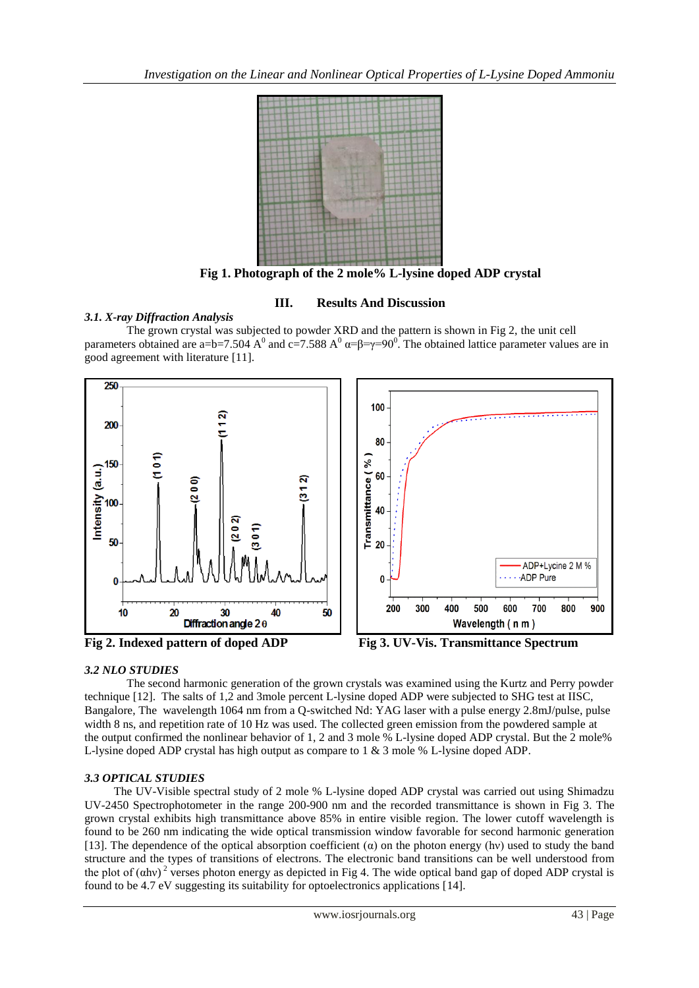

**Fig 1. Photograph of the 2 mole% L-lysine doped ADP crystal**

### **III. Results And Discussion**

### *3.1. X-ray Diffraction Analysis*

The grown crystal was subjected to powder XRD and the pattern is shown in Fig 2, the unit cell parameters obtained are a=b=7.504 A<sup>0</sup> and c=7.588 A<sup>0</sup>  $\alpha$ = $\beta$ = $\gamma$ =90<sup>0</sup>. The obtained lattice parameter values are in good agreement with literature [11].



**Fig 2. Indexed pattern of doped ADP Fig 3. UV-Vis. Transmittance Spectrum**

# *3.2 NLO STUDIES*

The second harmonic generation of the grown crystals was examined using the Kurtz and Perry powder technique [12]. The salts of 1,2 and 3mole percent L-lysine doped ADP were subjected to SHG test at IISC, Bangalore, The wavelength 1064 nm from a Q-switched Nd: YAG laser with a pulse energy 2.8mJ/pulse, pulse width 8 ns, and repetition rate of 10 Hz was used. The collected green emission from the powdered sample at the output confirmed the nonlinear behavior of 1, 2 and 3 mole % L-lysine doped ADP crystal. But the 2 mole% L-lysine doped ADP crystal has high output as compare to 1 & 3 mole % L-lysine doped ADP.

# *3.3 OPTICAL STUDIES*

 The UV-Visible spectral study of 2 mole % L-lysine doped ADP crystal was carried out using Shimadzu UV-2450 Spectrophotometer in the range 200-900 nm and the recorded transmittance is shown in Fig 3. The grown crystal exhibits high transmittance above 85% in entire visible region. The lower cutoff wavelength is found to be 260 nm indicating the wide optical transmission window favorable for second harmonic generation [13]. The dependence of the optical absorption coefficient ( $\alpha$ ) on the photon energy (hv) used to study the band structure and the types of transitions of electrons. The electronic band transitions can be well understood from the plot of  $(ahv)^2$  verses photon energy as depicted in Fig 4. The wide optical band gap of doped ADP crystal is found to be 4.7 eV suggesting its suitability for optoelectronics applications [14].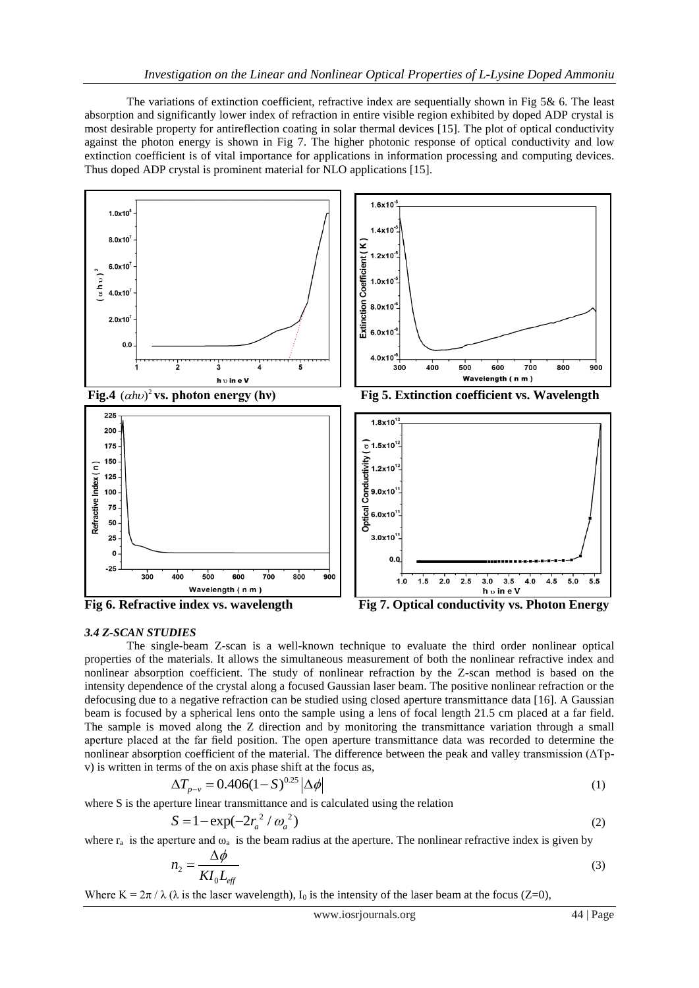The variations of extinction coefficient, refractive index are sequentially shown in Fig 5& 6. The least absorption and significantly lower index of refraction in entire visible region exhibited by doped ADP crystal is most desirable property for antireflection coating in solar thermal devices [15]. The plot of optical conductivity against the photon energy is shown in Fig 7. The higher photonic response of optical conductivity and low extinction coefficient is of vital importance for applications in information processing and computing devices. Thus doped ADP crystal is prominent material for NLO applications [15].



### *3.4 Z-SCAN STUDIES*

The single-beam Z-scan is a well-known technique to evaluate the third order nonlinear optical properties of the materials. It allows the simultaneous measurement of both the nonlinear refractive index and nonlinear absorption coefficient. The study of nonlinear refraction by the Z-scan method is based on the intensity dependence of the crystal along a focused Gaussian laser beam. The positive nonlinear refraction or the defocusing due to a negative refraction can be studied using closed aperture transmittance data [16]. A Gaussian beam is focused by a spherical lens onto the sample using a lens of focal length 21.5 cm placed at a far field. The sample is moved along the Z direction and by monitoring the transmittance variation through a small aperture placed at the far field position. The open aperture transmittance data was recorded to determine the nonlinear absorption coefficient of the material. The difference between the peak and valley transmission (ΔTp-

v) is written in terms of the on axis phase shift at the focus as,  
\n
$$
\Delta T_{p-v} = 0.406(1 - S)^{0.25} |\Delta \phi|
$$
\n(1)

where S is the aperture linear transmittance and is calculated using the relation

$$
S = 1 - \exp(-2r_a^2 / \omega_a^2)
$$
 (2)

where  $r_a$  is the aperture and  $\omega_a$  is the beam radius at the aperture. The nonlinear refractive index is given by

$$
n_2 = \frac{\Delta \phi}{K I_0 L_{\text{eff}}} \tag{3}
$$

Where K =  $2\pi / \lambda$  ( $\lambda$  is the laser wavelength), I<sub>0</sub> is the intensity of the laser beam at the focus (Z=0),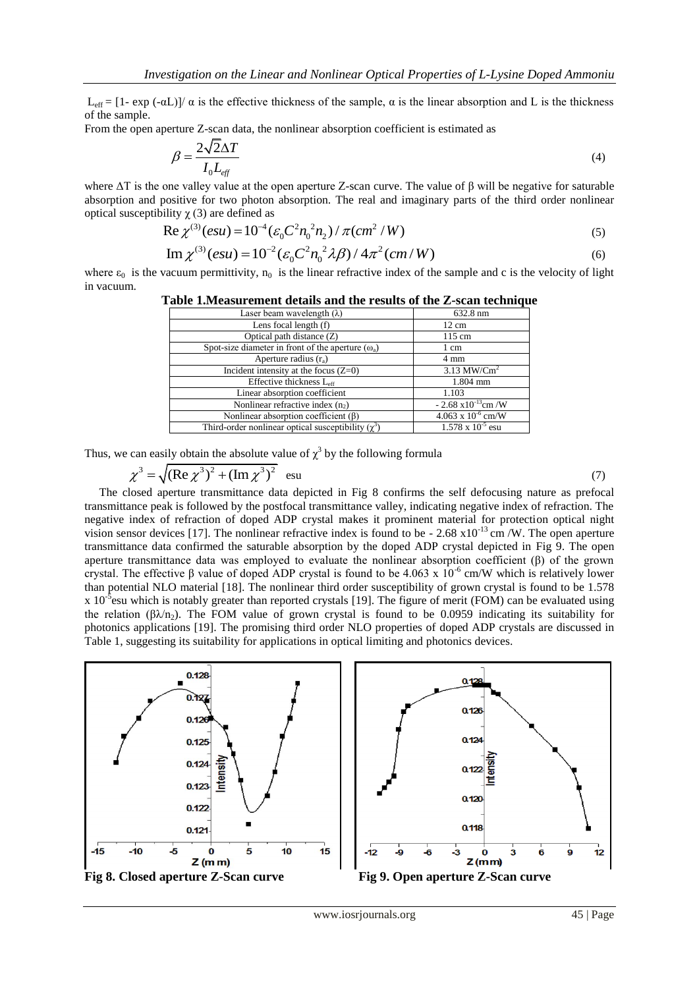L<sub>eff</sub> = [1- exp (-αL)]/ α is the effective thickness of the sample, α is the linear absorption and L is the thickness of the sample.

From the open aperture Z-scan data, the nonlinear absorption coefficient is estimated as

$$
\beta = \frac{2\sqrt{2}\Delta T}{I_0 L_{\text{eff}}} \tag{4}
$$

where  $\Delta T$  is the one valley value at the open aperture Z-scan curve. The value of  $\beta$  will be negative for saturable absorption and positive for two photon absorption. The real and imaginary parts of the third order nonlinear optical susceptibility  $\chi$  (3) are defined as<br>
Re  $\chi$ <sup>(3)</sup>(esu) = 10<sup>-4</sup>( $\varepsilon_0 C^2 n_0^2 n_2$ )/ $\pi$ (cm<sup>2</sup>/W)

Re 
$$
\chi^{(3)}(esu) = 10^{-4} (\varepsilon_0 C^2 n_0^2 n_2) / \pi (cm^2 / W)
$$
 (5)

Re 
$$
\chi^{(3)}(esu) = 10^{-4} (\varepsilon_0 C^2 n_0^2 n_2) / \pi (cm^2/W)
$$
 (5)  
\nIm  $\chi^{(3)}(esu) = 10^{-2} (\varepsilon_0 C^2 n_0^2 \lambda \beta) / 4\pi^2 (cm/W)$  (6)

where  $\varepsilon_0$  is the vacuum permittivity,  $n_0$  is the linear refractive index of the sample and c is the velocity of light in vacuum.

| Table 1. Measurement details and the results of the Z-scan technique |  |  |  |  |  |
|----------------------------------------------------------------------|--|--|--|--|--|
|----------------------------------------------------------------------|--|--|--|--|--|

| Laser beam wavelength $(\lambda)$                        | 632.8 nm                     |  |
|----------------------------------------------------------|------------------------------|--|
| Lens focal length $(f)$                                  | $12 \text{ cm}$              |  |
| Optical path distance $(Z)$                              | 115 cm                       |  |
| Spot-size diameter in front of the aperture $(\omega_a)$ | 1 cm                         |  |
| Aperture radius $(r_a)$                                  | $4 \text{ mm}$               |  |
| Incident intensity at the focus $(Z=0)$                  | $3.13$ MW/Cm <sup>2</sup>    |  |
| Effective thickness L <sub>eff</sub>                     | $1.804$ mm                   |  |
| Linear absorption coefficient                            | 1.103                        |  |
| Nonlinear refractive index $(n_2)$                       | $-2.68 \times 10^{-13}$ cm/W |  |
| Nonlinear absorption coefficient $(\beta)$               | $4.063 \times 10^{-6}$ cm/W  |  |
| Third-order nonlinear optical susceptibility $(\chi^3)$  | $1.578 \times 10^{-5}$ esu   |  |

Thus, we can easily obtain the absolute value of  $\chi^3$  by the following formula

$$
\chi^3 = \sqrt{(\text{Re }\chi^3)^2 + (\text{Im }\chi^3)^2}
$$
esu (7)

 The closed aperture transmittance data depicted in Fig 8 confirms the self defocusing nature as prefocal transmittance peak is followed by the postfocal transmittance valley, indicating negative index of refraction. The negative index of refraction of doped ADP crystal makes it prominent material for protection optical night vision sensor devices [17]. The nonlinear refractive index is found to be - 2.68  $\times 10^{-13}$  cm /W. The open aperture transmittance data confirmed the saturable absorption by the doped ADP crystal depicted in Fig 9. The open aperture transmittance data was employed to evaluate the nonlinear absorption coefficient (β) of the grown crystal. The effective β value of doped ADP crystal is found to be 4.063 x  $10^{-6}$  cm/W which is relatively lower than potential NLO material [18]. The nonlinear third order susceptibility of grown crystal is found to be 1.578 x 10<sup>-5</sup> esu which is notably greater than reported crystals [19]. The figure of merit (FOM) can be evaluated using the relation ( $\beta \lambda / n_2$ ). The FOM value of grown crystal is found to be 0.0959 indicating its suitability for photonics applications [19]. The promising third order NLO properties of doped ADP crystals are discussed in Table 1, suggesting its suitability for applications in optical limiting and photonics devices.